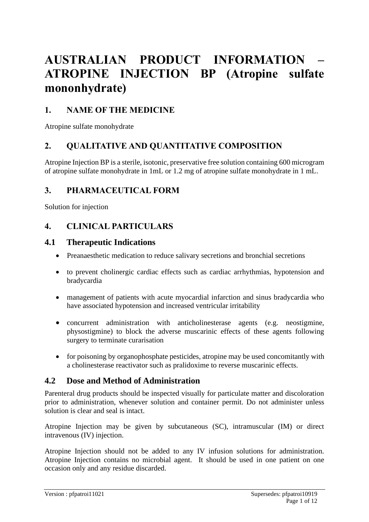# **AUSTRALIAN PRODUCT INFORMATION – ATROPINE INJECTION BP (Atropine sulfate mononhydrate)**

# **1. NAME OF THE MEDICINE**

Atropine sulfate monohydrate

# **2. QUALITATIVE AND QUANTITATIVE COMPOSITION**

Atropine Injection BP is a sterile, isotonic, preservative free solution containing 600 microgram of atropine sulfate monohydrate in 1mL or 1.2 mg of atropine sulfate monohydrate in 1 mL.

# **3. PHARMACEUTICAL FORM**

Solution for injection

# **4. CLINICAL PARTICULARS**

# **4.1 Therapeutic Indications**

- Preanaesthetic medication to reduce salivary secretions and bronchial secretions
- to prevent cholinergic cardiac effects such as cardiac arrhythmias, hypotension and bradycardia
- management of patients with acute myocardial infarction and sinus bradycardia who have associated hypotension and increased ventricular irritability
- concurrent administration with anticholinesterase agents (e.g. neostigmine, physostigmine) to block the adverse muscarinic effects of these agents following surgery to terminate curarisation
- for poisoning by organophosphate pesticides, atropine may be used concomitantly with a cholinesterase reactivator such as pralidoxime to reverse muscarinic effects.

# **4.2 Dose and Method of Administration**

Parenteral drug products should be inspected visually for particulate matter and discoloration prior to administration, whenever solution and container permit. Do not administer unless solution is clear and seal is intact.

Atropine Injection may be given by subcutaneous (SC), intramuscular (IM) or direct intravenous (IV) injection.

Atropine Injection should not be added to any IV infusion solutions for administration. Atropine Injection contains no microbial agent. It should be used in one patient on one occasion only and any residue discarded.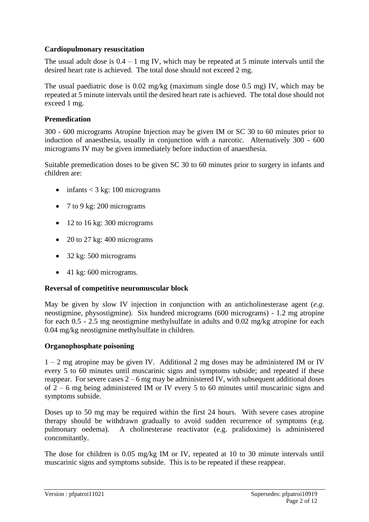# **Cardiopulmonary resuscitation**

The usual adult dose is  $0.4 - 1$  mg IV, which may be repeated at 5 minute intervals until the desired heart rate is achieved. The total dose should not exceed 2 mg.

The usual paediatric dose is 0.02 mg/kg (maximum single dose 0.5 mg) IV, which may be repeated at 5 minute intervals until the desired heart rate is achieved. The total dose should not exceed 1 mg.

### **Premedication**

300 - 600 micrograms Atropine Injection may be given IM or SC 30 to 60 minutes prior to induction of anaesthesia, usually in conjunction with a narcotic. Alternatively 300 - 600 micrograms IV may be given immediately before induction of anaesthesia.

Suitable premedication doses to be given SC 30 to 60 minutes prior to surgery in infants and children are:

- infants  $<$  3 kg: 100 micrograms
- 7 to 9 kg: 200 micrograms
- 12 to 16 kg: 300 micrograms
- 20 to 27 kg: 400 micrograms
- $\bullet$  32 kg: 500 micrograms
- $\bullet$  41 kg: 600 micrograms.

# **Reversal of competitive neuromuscular block**

May be given by slow IV injection in conjunction with an anticholinesterase agent (*e.g.* neostigmine, physostigmine). Six hundred micrograms (600 micrograms) - 1.2 mg atropine for each 0.5 - 2.5 mg neostigmine methylsulfate in adults and 0.02 mg/kg atropine for each 0.04 mg/kg neostigmine methylsulfate in children.

### **Organophosphate poisoning**

1 – 2 mg atropine may be given IV. Additional 2 mg doses may be administered IM or IV every 5 to 60 minutes until muscarinic signs and symptoms subside; and repeated if these reappear. For severe cases  $2 - 6$  mg may be administered IV, with subsequent additional doses of 2 – 6 mg being administered IM or IV every 5 to 60 minutes until muscarinic signs and symptoms subside.

Doses up to 50 mg may be required within the first 24 hours. With severe cases atropine therapy should be withdrawn gradually to avoid sudden recurrence of symptoms (e.g*.* pulmonary oedema). A cholinesterase reactivator (e.g. pralidoxime) is administered concomitantly.

The dose for children is 0.05 mg/kg IM or IV, repeated at 10 to 30 minute intervals until muscarinic signs and symptoms subside. This is to be repeated if these reappear.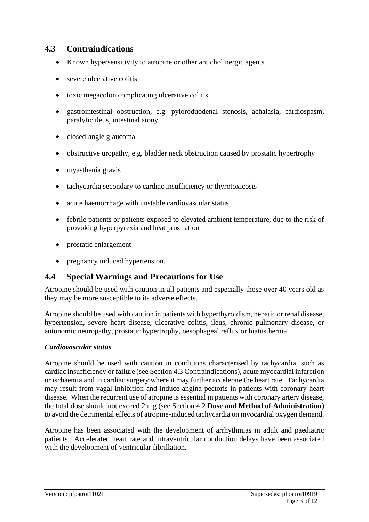# **4.3 Contraindications**

- Known hypersensitivity to atropine or other anticholinergic agents
- severe ulcerative colitis
- toxic megacolon complicating ulcerative colitis
- gastrointestinal obstruction, e.g*.* pyloroduodenal stenosis, achalasia, cardiospasm, paralytic ileus, intestinal atony
- closed-angle glaucoma
- obstructive uropathy, e.g*.* bladder neck obstruction caused by prostatic hypertrophy
- myasthenia gravis
- tachycardia secondary to cardiac insufficiency or thyrotoxicosis
- acute haemorrhage with unstable cardiovascular status
- febrile patients or patients exposed to elevated ambient temperature, due to the risk of provoking hyperpyrexia and heat prostration
- prostatic enlargement
- pregnancy induced hypertension.

# **4.4 Special Warnings and Precautions for Use**

Atropine should be used with caution in all patients and especially those over 40 years old as they may be more susceptible to its adverse effects.

Atropine should be used with caution in patients with hyperthyroidism, hepatic or renal disease, hypertension, severe heart disease, ulcerative colitis, ileus, chronic pulmonary disease, or autonomic neuropathy, prostatic hypertrophy, oesophageal reflux or hiatus hernia.

### *Cardiovascular status*

Atropine should be used with caution in conditions characterised by tachycardia, such as cardiac insufficiency or failure (see Section 4.3 Contraindications), acute myocardial infarction or ischaemia and in cardiac surgery where it may further accelerate the heart rate. Tachycardia may result from vagal inhibition and induce angina pectoris in patients with coronary heart disease. When the recurrent use of atropine is essential in patients with coronary artery disease, the total dose should not exceed 2 mg (see Section 4.2 **Dose and Method of Administration)**  to avoid the detrimental effects of atropine-induced tachycardia on myocardial oxygen demand.

Atropine has been associated with the development of arrhythmias in adult and paediatric patients. Accelerated heart rate and intraventricular conduction delays have been associated with the development of ventricular fibrillation.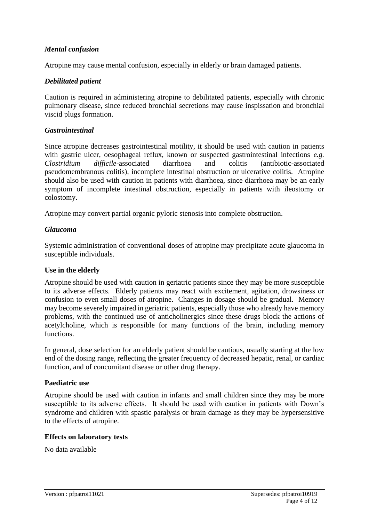### *Mental confusion*

Atropine may cause mental confusion, especially in elderly or brain damaged patients.

### *Debilitated patient*

Caution is required in administering atropine to debilitated patients, especially with chronic pulmonary disease, since reduced bronchial secretions may cause inspissation and bronchial viscid plugs formation.

### *Gastrointestinal*

Since atropine decreases gastrointestinal motility, it should be used with caution in patients with gastric ulcer, oesophageal reflux, known or suspected gastrointestinal infections *e.g. Clostridium difficile*-associated diarrhoea and colitis (antibiotic-associated pseudomembranous colitis), incomplete intestinal obstruction or ulcerative colitis. Atropine should also be used with caution in patients with diarrhoea, since diarrhoea may be an early symptom of incomplete intestinal obstruction, especially in patients with ileostomy or colostomy.

Atropine may convert partial organic pyloric stenosis into complete obstruction.

### *Glaucoma*

Systemic administration of conventional doses of atropine may precipitate acute glaucoma in susceptible individuals.

### **Use in the elderly**

Atropine should be used with caution in geriatric patients since they may be more susceptible to its adverse effects. Elderly patients may react with excitement, agitation, drowsiness or confusion to even small doses of atropine. Changes in dosage should be gradual. Memory may become severely impaired in geriatric patients, especially those who already have memory problems, with the continued use of anticholinergics since these drugs block the actions of acetylcholine, which is responsible for many functions of the brain, including memory functions.

In general, dose selection for an elderly patient should be cautious, usually starting at the low end of the dosing range, reflecting the greater frequency of decreased hepatic, renal, or cardiac function, and of concomitant disease or other drug therapy.

### **Paediatric use**

Atropine should be used with caution in infants and small children since they may be more susceptible to its adverse effects. It should be used with caution in patients with Down's syndrome and children with spastic paralysis or brain damage as they may be hypersensitive to the effects of atropine.

### **Effects on laboratory tests**

No data available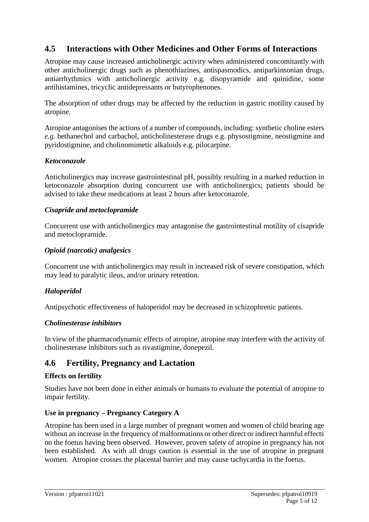# **4.5 Interactions with Other Medicines and Other Forms of Interactions**

Atropine may cause increased anticholinergic activity when administered concomitantly with other anticholinergic drugs such as phenothiazines, antispasmodics, antiparkinsonian drugs, antiarrhythmics with anticholinergic activity e.g*.* disopyramide and quinidine, some antihistamines, tricyclic antidepressants or butyrophenones.

The absorption of other drugs may be affected by the reduction in gastric motility caused by atropine.

Atropine antagonises the actions of a number of compounds, including: synthetic choline esters *e.g.* bethanechol and carbachol, anticholinesterase drugs e.g. physostigmine, neostigmine and pyridostigmine, and cholinomimetic alkaloids e.g. pilocarpine.

## *Ketoconazole*

Anticholinergics may increase gastrointestinal pH, possibly resulting in a marked reduction in ketoconazole absorption during concurrent use with anticholinergics; patients should be advised to take these medications at least 2 hours after ketoconazole.

## *Cisapride and metoclopramide*

Concurrent use with anticholinergics may antagonise the gastrointestinal motility of cisapride and metoclopramide.

## *Opioid (narcotic) analgesics*

Concurrent use with anticholinergics may result in increased risk of severe constipation, which may lead to paralytic ileus, and/or urinary retention.

# *Haloperidol*

Antipsychotic effectiveness of haloperidol may be decreased in schizophrenic patients.

### *Cholinesterase inhibitors*

In view of the pharmacodynamic effects of atropine, atropine may interfere with the activity of cholinesterase inhibitors such as rivastigmine, donepezil.

# **4.6 Fertility, Pregnancy and Lactation**

### **Effects on fertility**

Studies have not been done in either animals or humans to evaluate the potential of atropine to impair fertility.

# **Use in pregnancy – Pregnancy Category A**

Atropine has been used in a large number of pregnant women and women of child bearing age without an increase in the frequency of malformations or other direct or indirect harmful effects on the foetus having been observed. However, proven safety of atropine in pregnancy has not been established. As with all drugs caution is essential in the use of atropine in pregnant women. Atropine crosses the placental barrier and may cause tachycardia in the foetus.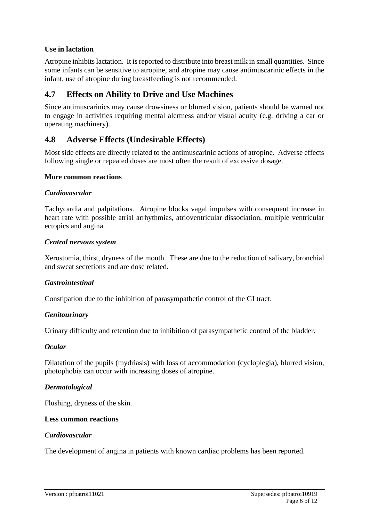## **Use in lactation**

Atropine inhibits lactation. It is reported to distribute into breast milk in small quantities. Since some infants can be sensitive to atropine, and atropine may cause antimuscarinic effects in the infant, use of atropine during breastfeeding is not recommended.

# **4.7 Effects on Ability to Drive and Use Machines**

Since antimuscarinics may cause drowsiness or blurred vision, patients should be warned not to engage in activities requiring mental alertness and/or visual acuity (e.g*.* driving a car or operating machinery).

# **4.8 Adverse Effects (Undesirable Effects)**

Most side effects are directly related to the antimuscarinic actions of atropine. Adverse effects following single or repeated doses are most often the result of excessive dosage.

#### **More common reactions**

#### *Cardiovascular*

Tachycardia and palpitations. Atropine blocks vagal impulses with consequent increase in heart rate with possible atrial arrhythmias, atrioventricular dissociation, multiple ventricular ectopics and angina.

#### *Central nervous system*

Xerostomia, thirst, dryness of the mouth. These are due to the reduction of salivary, bronchial and sweat secretions and are dose related.

### *Gastrointestinal*

Constipation due to the inhibition of parasympathetic control of the GI tract.

### *Genitourinary*

Urinary difficulty and retention due to inhibition of parasympathetic control of the bladder.

### *Ocular*

Dilatation of the pupils (mydriasis) with loss of accommodation (cycloplegia), blurred vision, photophobia can occur with increasing doses of atropine.

### *Dermatological*

Flushing, dryness of the skin.

#### **Less common reactions**

#### *Cardiovascular*

The development of angina in patients with known cardiac problems has been reported.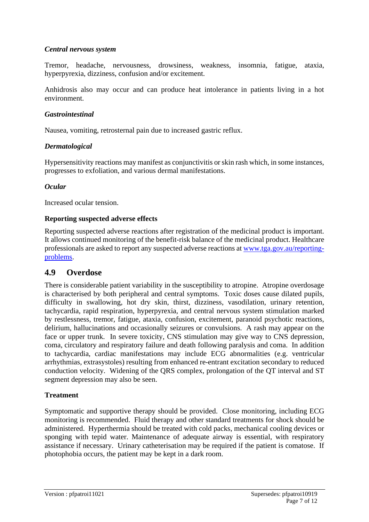### *Central nervous system*

Tremor, headache, nervousness, drowsiness, weakness, insomnia, fatigue, ataxia, hyperpyrexia, dizziness, confusion and/or excitement.

Anhidrosis also may occur and can produce heat intolerance in patients living in a hot environment.

### *Gastrointestinal*

Nausea, vomiting, retrosternal pain due to increased gastric reflux.

## *Dermatological*

Hypersensitivity reactions may manifest as conjunctivitis or skin rash which, in some instances, progresses to exfoliation, and various dermal manifestations.

## *Ocular*

Increased ocular tension.

## **Reporting suspected adverse effects**

Reporting suspected adverse reactions after registration of the medicinal product is important. It allows continued monitoring of the benefit-risk balance of the medicinal product. Healthcare professionals are asked to report any suspected adverse reactions at [www.tga.gov.au/reporting](http://www.tga.gov.au/reporting-problems)[problems.](http://www.tga.gov.au/reporting-problems)

# **4.9 Overdose**

There is considerable patient variability in the susceptibility to atropine. Atropine overdosage is characterised by both peripheral and central symptoms. Toxic doses cause dilated pupils, difficulty in swallowing, hot dry skin, thirst, dizziness, vasodilation, urinary retention, tachycardia, rapid respiration, hyperpyrexia, and central nervous system stimulation marked by restlessness, tremor, fatigue, ataxia, confusion, excitement, paranoid psychotic reactions, delirium, hallucinations and occasionally seizures or convulsions. A rash may appear on the face or upper trunk. In severe toxicity, CNS stimulation may give way to CNS depression, coma, circulatory and respiratory failure and death following paralysis and coma. In addition to tachycardia, cardiac manifestations may include ECG abnormalities (e.g. ventricular arrhythmias, extrasystoles) resulting from enhanced re-entrant excitation secondary to reduced conduction velocity. Widening of the QRS complex, prolongation of the QT interval and ST segment depression may also be seen.

# **Treatment**

Symptomatic and supportive therapy should be provided. Close monitoring, including ECG monitoring is recommended. Fluid therapy and other standard treatments for shock should be administered. Hyperthermia should be treated with cold packs, mechanical cooling devices or sponging with tepid water. Maintenance of adequate airway is essential, with respiratory assistance if necessary. Urinary catheterisation may be required if the patient is comatose. If photophobia occurs, the patient may be kept in a dark room.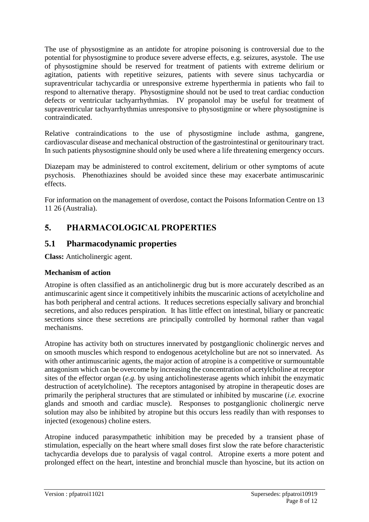The use of physostigmine as an antidote for atropine poisoning is controversial due to the potential for physostigmine to produce severe adverse effects, e.g. seizures, asystole. The use of physostigmine should be reserved for treatment of patients with extreme delirium or agitation, patients with repetitive seizures, patients with severe sinus tachycardia or supraventricular tachycardia or unresponsive extreme hyperthermia in patients who fail to respond to alternative therapy. Physostigmine should not be used to treat cardiac conduction defects or ventricular tachyarrhythmias. IV propanolol may be useful for treatment of supraventricular tachyarrhythmias unresponsive to physostigmine or where physostigmine is contraindicated.

Relative contraindications to the use of physostigmine include asthma, gangrene, cardiovascular disease and mechanical obstruction of the gastrointestinal or genitourinary tract. In such patients physostigmine should only be used where a life threatening emergency occurs.

Diazepam may be administered to control excitement, delirium or other symptoms of acute psychosis. Phenothiazines should be avoided since these may exacerbate antimuscarinic effects.

For information on the management of overdose, contact the Poisons Information Centre on 13 11 26 (Australia).

# **5. PHARMACOLOGICAL PROPERTIES**

# **5.1 Pharmacodynamic properties**

**Class:** Anticholinergic agent.

# **Mechanism of action**

Atropine is often classified as an anticholinergic drug but is more accurately described as an antimuscarinic agent since it competitively inhibits the muscarinic actions of acetylcholine and has both peripheral and central actions. It reduces secretions especially salivary and bronchial secretions, and also reduces perspiration. It has little effect on intestinal, biliary or pancreatic secretions since these secretions are principally controlled by hormonal rather than vagal mechanisms.

Atropine has activity both on structures innervated by postganglionic cholinergic nerves and on smooth muscles which respond to endogenous acetylcholine but are not so innervated. As with other antimuscarinic agents, the major action of atropine is a competitive or surmountable antagonism which can be overcome by increasing the concentration of acetylcholine at receptor sites of the effector organ (*e.g.* by using anticholinesterase agents which inhibit the enzymatic destruction of acetylcholine). The receptors antagonised by atropine in therapeutic doses are primarily the peripheral structures that are stimulated or inhibited by muscarine (*i.e.* exocrine glands and smooth and cardiac muscle). Responses to postganglionic cholinergic nerve solution may also be inhibited by atropine but this occurs less readily than with responses to injected (exogenous) choline esters.

Atropine induced parasympathetic inhibition may be preceded by a transient phase of stimulation, especially on the heart where small doses first slow the rate before characteristic tachycardia develops due to paralysis of vagal control. Atropine exerts a more potent and prolonged effect on the heart, intestine and bronchial muscle than hyoscine, but its action on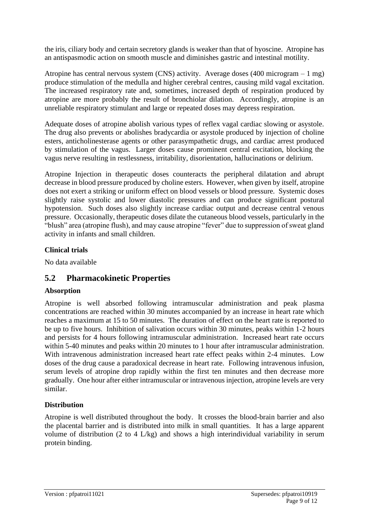the iris, ciliary body and certain secretory glands is weaker than that of hyoscine. Atropine has an antispasmodic action on smooth muscle and diminishes gastric and intestinal motility.

Atropine has central nervous system (CNS) activity. Average doses (400 microgram – 1 mg) produce stimulation of the medulla and higher cerebral centres, causing mild vagal excitation. The increased respiratory rate and, sometimes, increased depth of respiration produced by atropine are more probably the result of bronchiolar dilation. Accordingly, atropine is an unreliable respiratory stimulant and large or repeated doses may depress respiration.

Adequate doses of atropine abolish various types of reflex vagal cardiac slowing or asystole. The drug also prevents or abolishes bradycardia or asystole produced by injection of choline esters, anticholinesterase agents or other parasympathetic drugs, and cardiac arrest produced by stimulation of the vagus. Larger doses cause prominent central excitation, blocking the vagus nerve resulting in restlessness, irritability, disorientation, hallucinations or delirium.

Atropine Injection in therapeutic doses counteracts the peripheral dilatation and abrupt decrease in blood pressure produced by choline esters. However, when given by itself, atropine does not exert a striking or uniform effect on blood vessels or blood pressure. Systemic doses slightly raise systolic and lower diastolic pressures and can produce significant postural hypotension. Such doses also slightly increase cardiac output and decrease central venous pressure. Occasionally, therapeutic doses dilate the cutaneous blood vessels, particularly in the "blush" area (atropine flush), and may cause atropine "fever" due to suppression of sweat gland activity in infants and small children.

# **Clinical trials**

No data available

# **5.2 Pharmacokinetic Properties**

# **Absorption**

Atropine is well absorbed following intramuscular administration and peak plasma concentrations are reached within 30 minutes accompanied by an increase in heart rate which reaches a maximum at 15 to 50 minutes. The duration of effect on the heart rate is reported to be up to five hours. Inhibition of salivation occurs within 30 minutes, peaks within 1-2 hours and persists for 4 hours following intramuscular administration. Increased heart rate occurs within 5-40 minutes and peaks within 20 minutes to 1 hour after intramuscular administration. With intravenous administration increased heart rate effect peaks within 2-4 minutes. Low doses of the drug cause a paradoxical decrease in heart rate. Following intravenous infusion, serum levels of atropine drop rapidly within the first ten minutes and then decrease more gradually. One hour after either intramuscular or intravenous injection, atropine levels are very similar.

# **Distribution**

Atropine is well distributed throughout the body. It crosses the blood-brain barrier and also the placental barrier and is distributed into milk in small quantities. It has a large apparent volume of distribution (2 to 4 L/kg) and shows a high interindividual variability in serum protein binding.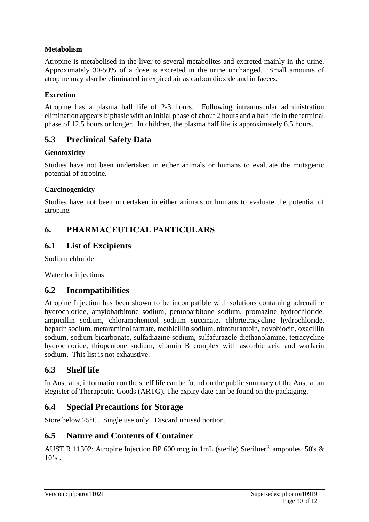# **Metabolism**

Atropine is metabolised in the liver to several metabolites and excreted mainly in the urine. Approximately 30-50% of a dose is excreted in the urine unchanged. Small amounts of atropine may also be eliminated in expired air as carbon dioxide and in faeces.

### **Excretion**

Atropine has a plasma half life of 2-3 hours. Following intramuscular administration elimination appears biphasic with an initial phase of about 2 hours and a half life in the terminal phase of 12.5 hours or longer. In children, the plasma half life is approximately 6.5 hours.

# **5.3 Preclinical Safety Data**

### **Genotoxicity**

Studies have not been undertaken in either animals or humans to evaluate the mutagenic potential of atropine.

### **Carcinogenicity**

Studies have not been undertaken in either animals or humans to evaluate the potential of atropine.

# **6. PHARMACEUTICAL PARTICULARS**

# **6.1 List of Excipients**

Sodium chloride

Water for injections

# **6.2 Incompatibilities**

Atropine Injection has been shown to be incompatible with solutions containing adrenaline hydrochloride, amylobarbitone sodium, pentobarbitone sodium, promazine hydrochloride, ampicillin sodium, chloramphenicol sodium succinate, chlortetracycline hydrochloride, heparin sodium, metaraminol tartrate, methicillin sodium, nitrofurantoin, novobiocin, oxacillin sodium, sodium bicarbonate, sulfadiazine sodium, sulfafurazole diethanolamine, tetracycline hydrochloride, thiopentone sodium, vitamin B complex with ascorbic acid and warfarin sodium. This list is not exhaustive.

# **6.3 Shelf life**

In Australia, information on the shelf life can be found on the public summary of the Australian Register of Therapeutic Goods (ARTG). The expiry date can be found on the packaging.

# **6.4 Special Precautions for Storage**

Store below 25°C. Single use only. Discard unused portion.

# **6.5 Nature and Contents of Container**

AUST R 11302: Atropine Injection BP 600 mcg in 1mL (sterile) Steriluer<sup>®</sup> ampoules, 50's &  $10's$ .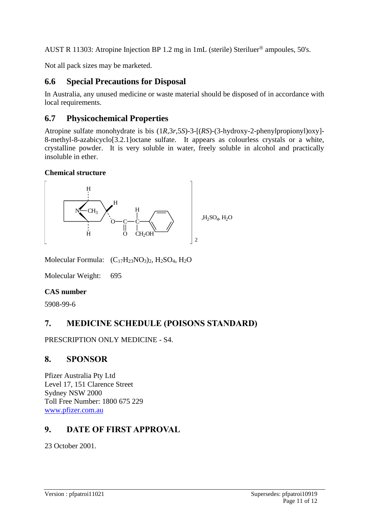AUST R 11303: Atropine Injection BP 1.2 mg in 1mL (sterile) Steriluer<sup>®</sup> ampoules, 50's.

Not all pack sizes may be marketed.

# **6.6 Special Precautions for Disposal**

In Australia, any unused medicine or waste material should be disposed of in accordance with local requirements.

# **6.7 Physicochemical Properties**

Atropine sulfate monohydrate is bis (1*R*,3*r*,5*S*)-3-[(*RS*)-(3-hydroxy-2-phenylpropionyl)oxy]- 8-methyl-8-azabicyclo[3.2.1]octane sulfate. It appears as colourless crystals or a white, crystalline powder. It is very soluble in water, freely soluble in alcohol and practically insoluble in ether.

# **Chemical structure**



Molecular Formula:  $(C_{17}H_{23}NO_3)_2$ , H<sub>2</sub>SO<sub>4</sub>, H<sub>2</sub>O

Molecular Weight: 695

# **CAS number**

5908-99-6

# **7. MEDICINE SCHEDULE (POISONS STANDARD)**

PRESCRIPTION ONLY MEDICINE - S4.

# **8. SPONSOR**

Pfizer Australia Pty Ltd Level 17, 151 Clarence Street Sydney NSW 2000 Toll Free Number: 1800 675 229 [www.pfizer.com.au](http://www.pfizer.com.au/)

# **9. DATE OF FIRST APPROVAL**

23 October 2001.